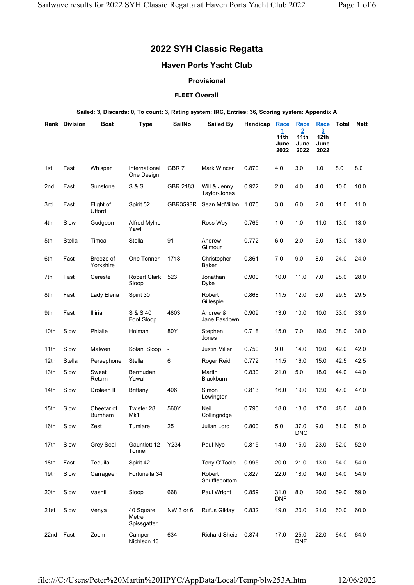# 2022 SYH Classic Regatta

# Haven Ports Yacht Club

# Provisional

### **FLEET Overall**

### Sailed: 3, Discards: 0, To count: 3, Rating system: IRC, Entries: 36, Scoring system: Appendix A

|      | <b>Rank Division</b> | Boat                         | <b>Type</b>                       | <b>SailNo</b>            | <b>Sailed By</b>             | Handicap | Race<br>1.<br>11th<br>June<br>2022 | Race<br>2<br>11th<br>June<br>2022 | Race<br>3<br>12 <sub>th</sub><br>June<br>2022 | <b>Total</b> | <b>Nett</b> |
|------|----------------------|------------------------------|-----------------------------------|--------------------------|------------------------------|----------|------------------------------------|-----------------------------------|-----------------------------------------------|--------------|-------------|
| 1st  | Fast                 | Whisper                      | International<br>One Design       | GBR 7                    | Mark Wincer                  | 0.870    | 4.0                                | 3.0                               | 1.0                                           | 8.0          | 8.0         |
| 2nd  | Fast                 | Sunstone                     | <b>S &amp; S</b>                  | GBR 2183                 | Will & Jenny<br>Taylor-Jones | 0.922    | 2.0                                | 4.0                               | 4.0                                           | 10.0         | 10.0        |
| 3rd  | Fast                 | Flight of<br>Ufford          | Spirit 52                         | GBR3598R                 | Sean McMillan                | 1.075    | 3.0                                | 6.0                               | 2.0                                           | 11.0         | 11.0        |
| 4th  | Slow                 | Gudgeon                      | <b>Alfred MyIne</b><br>Yawl       |                          | Ross Wey                     | 0.765    | 1.0                                | 1.0                               | 11.0                                          | 13.0         | 13.0        |
| 5th  | Stella               | Timoa                        | Stella                            | 91                       | Andrew<br>Gilmour            | 0.772    | 6.0                                | 2.0                               | 5.0                                           | 13.0         | 13.0        |
| 6th  | Fast                 | Breeze of<br>Yorkshire       | One Tonner                        | 1718                     | Christopher<br>Baker         | 0.861    | 7.0                                | 9.0                               | 8.0                                           | 24.0         | 24.0        |
| 7th  | Fast                 | Cereste                      | <b>Robert Clark</b><br>Sloop      | 523                      | Jonathan<br>Dyke             | 0.900    | 10.0                               | 11.0                              | 7.0                                           | 28.0         | 28.0        |
| 8th  | Fast                 | Lady Elena                   | Spirit 30                         |                          | Robert<br>Gillespie          | 0.868    | 11.5                               | 12.0                              | 6.0                                           | 29.5         | 29.5        |
| 9th  | Fast                 | Illiria                      | S & S 40<br>Foot Sloop            | 4803                     | Andrew &<br>Jane Easdown     | 0.909    | 13.0                               | 10.0                              | 10.0                                          | 33.0         | 33.0        |
| 10th | Slow                 | Phialle                      | Holman                            | 80Y                      | Stephen<br>Jones             | 0.718    | 15.0                               | 7.0                               | 16.0                                          | 38.0         | 38.0        |
| 11th | Slow                 | Malwen                       | Solani Sloop                      | $\overline{\phantom{a}}$ | Justin Miller                | 0.750    | 9.0                                | 14.0                              | 19.0                                          | 42.0         | 42.0        |
| 12th | Stella               | Persephone                   | <b>Stella</b>                     | 6                        | Roger Reid                   | 0.772    | 11.5                               | 16.0                              | 15.0                                          | 42.5         | 42.5        |
| 13th | Slow                 | Sweet<br>Return              | Bermudan<br>Yawal                 |                          | Martin<br>Blackburn          | 0.830    | 21.0                               | 5.0                               | 18.0                                          | 44.0         | 44.0        |
| 14th | Slow                 | Droleen II                   | Brittany                          | 406                      | Simon<br>Lewington           | 0.813    | 16.0                               | 19.0                              | 12.0                                          | 47.0         | 47.0        |
| 15th | Slow                 | Cheetar of<br><b>Burnham</b> | Twister 28<br>Mk1                 | 560Y                     | Neil<br>Collingridge         | 0.790    | 18.0                               | 13.0                              | 17.0                                          | 48.0         | 48.0        |
| 16th | Slow                 | Zest                         | Tumlare                           | 25                       | Julian Lord                  | 0.800    | 5.0                                | 37.0<br><b>DNC</b>                | 9.0                                           | 51.0         | 51.0        |
| 17th | Slow                 | Grey Seal                    | Gauntlett 12<br>Tonner            | Y234                     | Paul Nye                     | 0.815    | 14.0                               | 15.0                              | 23.0                                          | 52.0         | 52.0        |
| 18th | Fast                 | Tequila                      | Spirit 42                         | $\overline{\phantom{a}}$ | Tony O'Toole                 | 0.995    | 20.0                               | 21.0                              | 13.0                                          | 54.0         | 54.0        |
| 19th | Slow                 | Carrageen                    | Fortunella 34                     |                          | Robert<br>Shufflebottom      | 0.827    | 22.0                               | 18.0                              | 14.0                                          | 54.0         | 54.0        |
| 20th | Slow                 | Vashti                       | Sloop                             | 668                      | Paul Wright                  | 0.859    | 31.0<br><b>DNF</b>                 | 8.0                               | 20.0                                          | 59.0         | 59.0        |
| 21st | Slow                 | Venya                        | 40 Square<br>Metre<br>Spissgatter | NW 3 or 6                | <b>Rufus Gilday</b>          | 0.832    | 19.0                               | 20.0                              | 21.0                                          | 60.0         | 60.0        |
| 22nd | Fast                 | Zoom                         | Camper<br>Nichlson 43             | 634                      | Richard Sheiel 0.874         |          | 17.0                               | 25.0<br><b>DNF</b>                | 22.0                                          | 64.0         | 64.0        |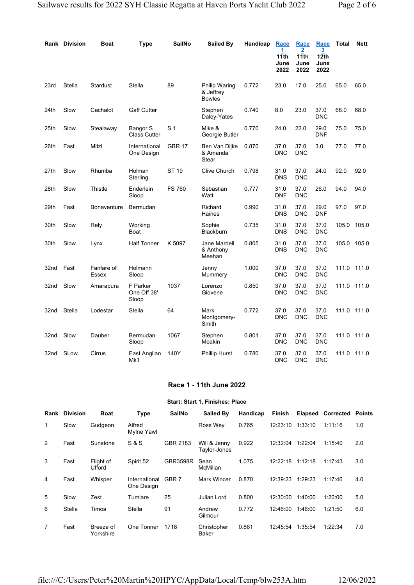|      | Rank Division | <b>Boat</b>         | <b>Type</b>                      | <b>SailNo</b>  | Sailed By                                   | Handicap | <b>Race</b><br>1<br>11th<br>June<br>2022 | Race<br>2<br>11th<br>June<br>2022 | Race<br>3<br>12 <sub>th</sub><br>June<br>2022 | <b>Total</b> | <b>Nett</b> |
|------|---------------|---------------------|----------------------------------|----------------|---------------------------------------------|----------|------------------------------------------|-----------------------------------|-----------------------------------------------|--------------|-------------|
| 23rd | Stella        | Stardust            | Stella                           | 89             | Philip Waring<br>& Jeffrev<br><b>Bowles</b> | 0.772    | 23.0                                     | 17.0                              | 25.0                                          | 65.0         | 65.0        |
| 24th | Slow          | Cachalot            | <b>Gaff Cutter</b>               |                | Stephen<br>Daley-Yates                      | 0.740    | 8.0                                      | 23.0                              | 37.0<br><b>DNC</b>                            | 68.0         | 68.0        |
| 25th | Slow          | Stealaway           | Bangor S<br><b>Class Cutter</b>  | S <sub>1</sub> | Mike &<br>Georgie Butler                    | 0.770    | 24.0                                     | 22.0                              | 29.0<br><b>DNF</b>                            | 75.0         | 75.0        |
| 26th | Fast          | Mitzi               | International<br>One Design      | <b>GBR 17</b>  | Ben Van Dijke<br>& Amanda<br>Stear          | 0.870    | 37.0<br><b>DNC</b>                       | 37.0<br><b>DNC</b>                | 3.0                                           | 77.0         | 77.0        |
| 27th | Slow          | Rhumba              | Holman<br>Sterling               | <b>ST 19</b>   | Clive Church                                | 0.798    | 31.0<br><b>DNS</b>                       | 37.0<br><b>DNC</b>                | 24.0                                          | 92.0         | 92.0        |
| 28th | Slow          | Thistle             | Enderlein<br>Sloop               | <b>FS 760</b>  | Sebastian<br>Watt                           | 0.777    | 31.0<br><b>DNF</b>                       | 37.0<br><b>DNC</b>                | 26.0                                          | 94.0         | 94.0        |
| 29th | Fast          | <b>Bonaventure</b>  | Bermudan                         |                | Richard<br>Haines                           | 0.990    | 31.0<br><b>DNS</b>                       | 37.0<br><b>DNC</b>                | 29.0<br><b>DNF</b>                            | 97.0         | 97.0        |
| 30th | Slow          | Rely                | Working<br>Boat                  |                | Sophie<br><b>Blackburn</b>                  | 0.735    | 31.0<br><b>DNS</b>                       | 37.0<br><b>DNC</b>                | 37.0<br><b>DNC</b>                            | 105.0        | 105.0       |
| 30th | Slow          | Lynx                | <b>Half Tonner</b>               | K 5097         | Jane Mardell<br>& Anthony<br>Meehan         | 0.805    | 31.0<br><b>DNS</b>                       | 37.0<br><b>DNC</b>                | 37.0<br><b>DNC</b>                            | 105.0        | 105.0       |
| 32nd | Fast          | Fanfare of<br>Essex | Holmann<br>Sloop                 |                | Jenny<br>Mummery                            | 1.000    | 37.0<br><b>DNC</b>                       | 37.0<br><b>DNC</b>                | 37.0<br><b>DNC</b>                            | 111.0        | 111.0       |
| 32nd | Slow          | Amarapura           | F Parker<br>One Off 38'<br>Sloop | 1037           | Lorenzo<br>Giovene                          | 0.850    | 37.0<br><b>DNC</b>                       | 37.0<br><b>DNC</b>                | 37.0<br><b>DNC</b>                            | 111.0        | 111.0       |
| 32nd | Stella        | Lodestar            | Stella                           | 64             | Mark<br>Montgomery-<br>Smith                | 0.772    | 37.0<br><b>DNC</b>                       | 37.0<br><b>DNC</b>                | 37.0<br><b>DNC</b>                            | 111.0        | 111.0       |
| 32nd | Slow          | Dauber              | Bermudan<br>Sloop                | 1067           | Stephen<br>Meakin                           | 0.801    | 37.0<br><b>DNC</b>                       | 37.0<br><b>DNC</b>                | 37.0<br><b>DNC</b>                            | 111.0        | 111.0       |
| 32nd | SLow          | Cirrus              | East Anglian<br>Mk1              | 140Y           | <b>Phillip Hurst</b>                        | 0.780    | 37.0<br><b>DNC</b>                       | 37.0<br><b>DNC</b>                | 37.0<br><b>DNC</b>                            | 111.0        | 111.0       |

### Race 1 - 11th June 2022

#### Start: Start 1, Finishes: Place

| Rank | <b>Division</b> | <b>Boat</b>            | <b>Type</b>                 | <b>SailNo</b>    | Sailed By                    | Handicap | <b>Finish</b> | <b>Elapsed</b> | <b>Corrected</b> | Points |
|------|-----------------|------------------------|-----------------------------|------------------|------------------------------|----------|---------------|----------------|------------------|--------|
| 1    | Slow            | Gudgeon                | Alfred<br>Mylne Yawl        |                  | Ross Wey                     | 0.765    | 12:23:10      | 1:33:10        | 1:11:16          | 1.0    |
| 2    | Fast            | Sunstone               | <b>S&amp;S</b>              | GBR 2183         | Will & Jenny<br>Taylor-Jones | 0.922    | 12:32:04      | 1:22:04        | 1:15:40          | 2.0    |
| 3    | Fast            | Flight of<br>Ufford    | Spirit 52                   | <b>GBR3598R</b>  | Sean<br>McMillan             | 1.075    | 12:22:18      | 1:12:18        | 1:17:43          | 3.0    |
| 4    | Fast            | Whisper                | International<br>One Design | GBR <sub>7</sub> | <b>Mark Wincer</b>           | 0.870    | 12:39:23      | 1:29:23        | 1:17:46          | 4.0    |
| 5    | Slow            | Zest                   | Tumlare                     | 25               | Julian Lord                  | 0.800    | 12:30:00      | 1:40:00        | 1:20:00          | 5.0    |
| 6    | Stella          | Timoa                  | Stella                      | 91               | Andrew<br>Gilmour            | 0.772    | 12:46:00      | 1:46:00        | 1:21:50          | 6.0    |
| 7    | Fast            | Breeze of<br>Yorkshire | One Tonner                  | 1718             | Christopher<br>Baker         | 0.861    | 12:45:54      | 1:35:54        | 1:22:34          | 7.0    |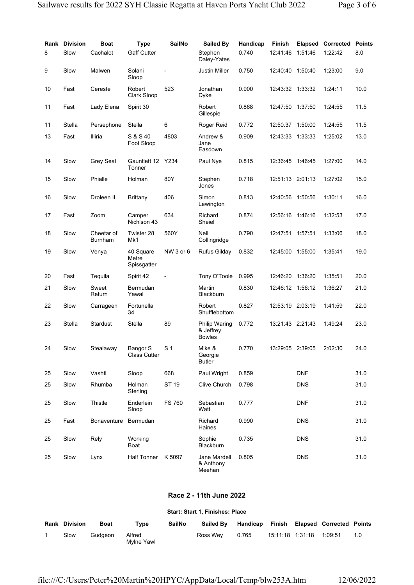|    | <b>Rank Division</b> | <b>Boat</b>                  | <b>Type</b>                       | <b>SailNo</b>  | Sailed By                                          | Handicap | Finish           | <b>Elapsed</b> | Corrected | <b>Points</b> |
|----|----------------------|------------------------------|-----------------------------------|----------------|----------------------------------------------------|----------|------------------|----------------|-----------|---------------|
| 8  | Slow                 | Cachalot                     | <b>Gaff Cutter</b>                |                | Stephen<br>Daley-Yates                             | 0.740    | 12:41:46         | 1:51:46        | 1:22:42   | 8.0           |
| 9  | Slow                 | Malwen                       | Solani<br>Sloop                   |                | Justin Miller                                      | 0.750    | 12:40:40         | 1:50:40        | 1:23:00   | 9.0           |
| 10 | Fast                 | Cereste                      | Robert<br>Clark Sloop             | 523            | Jonathan<br>Dyke                                   | 0.900    | 12:43:32 1:33:32 |                | 1:24:11   | 10.0          |
| 11 | Fast                 | Lady Elena                   | Spirit 30                         |                | Robert<br>Gillespie                                | 0.868    | 12:47:50 1:37:50 |                | 1:24:55   | 11.5          |
| 11 | Stella               | Persephone                   | Stella                            | 6              | Roger Reid                                         | 0.772    | 12:50.37 1:50:00 |                | 1:24:55   | 11.5          |
| 13 | Fast                 | Illiria                      | S & S 40<br>Foot Sloop            | 4803           | Andrew &<br>Jane<br>Easdown                        | 0.909    | 12:43:33 1:33:33 |                | 1:25:02   | 13.0          |
| 14 | Slow                 | Grey Seal                    | Gauntlett 12 Y234<br>Tonner       |                | Paul Nye                                           | 0.815    | 12:36:45 1:46:45 |                | 1:27:00   | 14.0          |
| 15 | Slow                 | Phialle                      | Holman                            | 80Y            | Stephen<br>Jones                                   | 0.718    | 12:51:13 2:01:13 |                | 1:27:02   | 15.0          |
| 16 | Slow                 | Droleen II                   | Brittany                          | 406            | Simon<br>Lewington                                 | 0.813    | 12:40:56 1:50:56 |                | 1:30:11   | 16.0          |
| 17 | Fast                 | Zoom                         | Camper<br>Nichlson 43             | 634            | Richard<br>Sheiel                                  | 0.874    | 12:56:16 1:46:16 |                | 1:32:53   | 17.0          |
| 18 | Slow                 | Cheetar of<br><b>Burnham</b> | Twister 28<br>Mk1                 | 560Y           | Neil<br>Collingridge                               | 0.790    | 12:47:51 1:57:51 |                | 1:33:06   | 18.0          |
| 19 | Slow                 | Venya                        | 40 Square<br>Metre<br>Spissgatter | NW 3 or 6      | <b>Rufus Gilday</b>                                | 0.832    | 12:45:00 1:55:00 |                | 1:35:41   | 19.0          |
| 20 | Fast                 | Tequila                      | Spirit 42                         |                | Tony O'Toole                                       | 0.995    | 12:46:20         | 1:36:20        | 1:35:51   | 20.0          |
| 21 | Slow                 | Sweet<br>Return              | Bermudan<br>Yawal                 |                | Martin<br>Blackburn                                | 0.830    | 12:46:12 1:56:12 |                | 1:36:27   | 21.0          |
| 22 | Slow                 | Carrageen                    | Fortunella<br>34                  |                | Robert<br>Shufflebottom                            | 0.827    | 12:53:19 2:03:19 |                | 1:41:59   | 22.0          |
| 23 | Stella               | <b>Stardust</b>              | Stella                            | 89             | <b>Philip Waring</b><br>& Jeffrey<br><b>Bowles</b> | 0.772    | 13:21:43 2:21:43 |                | 1:49:24   | 23.0          |
| 24 | Slow                 | Stealaway                    | Bangor S<br><b>Class Cutter</b>   | S <sub>1</sub> | Mike &<br>Georgie<br><b>Butler</b>                 | 0.770    | 13:29:05 2:39:05 |                | 2:02:30   | 24.0          |
| 25 | Slow                 | Vashti                       | Sloop                             | 668            | Paul Wright                                        | 0.859    |                  | <b>DNF</b>     |           | 31.0          |
| 25 | Slow                 | Rhumba                       | Holman<br>Sterling                | <b>ST 19</b>   | Clive Church                                       | 0.798    |                  | <b>DNS</b>     |           | 31.0          |
| 25 | Slow                 | Thistle                      | Enderlein<br>Sloop                | <b>FS 760</b>  | Sebastian<br>Watt                                  | 0.777    |                  | <b>DNF</b>     |           | 31.0          |
| 25 | Fast                 | Bonaventure                  | Bermudan                          |                | Richard<br>Haines                                  | 0.990    |                  | <b>DNS</b>     |           | 31.0          |
| 25 | Slow                 | Rely                         | Working<br>Boat                   |                | Sophie<br>Blackburn                                | 0.735    |                  | <b>DNS</b>     |           | 31.0          |
| 25 | Slow                 | Lynx                         | Half Tonner K 5097                |                | Jane Mardell<br>& Anthony<br>Meehan                | 0.805    |                  | <b>DNS</b>     |           | 31.0          |

# Race 2 - 11th June 2022

# Start: Start 1, Finishes: Place

| <b>Rank Division</b> | <b>Boat</b> | $T$ vpe              | <b>SailNo</b> | <b>Sailed By</b> |       |                   | Handicap Finish Elapsed Corrected Points |     |
|----------------------|-------------|----------------------|---------------|------------------|-------|-------------------|------------------------------------------|-----|
| Slow                 | Gudaeon     | Alfred<br>Mvlne Yawl |               | Ross Wev         | 0.765 | 15:11:18  1:31:18 | 1:09:51                                  | 1.0 |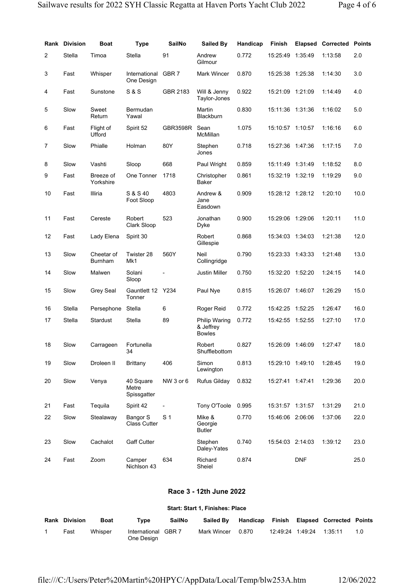|                         | <b>Rank Division</b> | Boat                   | <b>Type</b>                       | <b>SailNo</b>  | <b>Sailed By</b>                            | Handicap | <b>Finish</b>    |            | <b>Elapsed Corrected</b> | <b>Points</b> |
|-------------------------|----------------------|------------------------|-----------------------------------|----------------|---------------------------------------------|----------|------------------|------------|--------------------------|---------------|
| $\overline{\mathbf{c}}$ | Stella               | Timoa                  | Stella                            | 91             | Andrew<br>Gilmour                           | 0.772    | 15:25:49         | 1:35:49    | 1:13:58                  | 2.0           |
| 3                       | Fast                 | Whisper                | International<br>One Design       | GBR 7          | Mark Wincer                                 | 0.870    | 15:25:38 1:25:38 |            | 1:14:30                  | 3.0           |
| 4                       | Fast                 | Sunstone               | <b>S&amp;S</b>                    | GBR 2183       | Will & Jenny<br>Taylor-Jones                | 0.922    | 15:21:09         | 1:21:09    | 1:14:49                  | 4.0           |
| 5                       | Slow                 | Sweet<br>Return        | Bermudan<br>Yawal                 |                | Martin<br>Blackburn                         | 0.830    | 15:11:36 1:31:36 |            | 1:16:02                  | 5.0           |
| 6                       | Fast                 | Flight of<br>Ufford    | Spirit 52                         | GBR3598R       | Sean<br>McMillan                            | 1.075    | 15:10:57 1:10:57 |            | 1:16:16                  | 6.0           |
| 7                       | Slow                 | Phialle                | Holman                            | 80Y            | Stephen<br>Jones                            | 0.718    | 15:27:36 1:47:36 |            | 1:17:15                  | 7.0           |
| 8                       | Slow                 | Vashti                 | Sloop                             | 668            | Paul Wright                                 | 0.859    | 15:11:49         | 1:31:49    | 1:18:52                  | 8.0           |
| 9                       | Fast                 | Breeze of<br>Yorkshire | One Tonner                        | 1718           | Christopher<br>Baker                        | 0.861    | 15:32:19 1:32:19 |            | 1:19:29                  | 9.0           |
| 10                      | Fast                 | Illiria                | S & S 40<br>Foot Sloop            | 4803           | Andrew &<br>Jane<br>Easdown                 | 0.909    | 15:28:12 1:28:12 |            | 1:20:10                  | 10.0          |
| 11                      | Fast                 | Cereste                | Robert<br>Clark Sloop             | 523            | Jonathan<br>Dyke                            | 0.900    | 15:29:06 1:29:06 |            | 1:20:11                  | 11.0          |
| 12                      | Fast                 | Lady Elena             | Spirit 30                         |                | Robert<br>Gillespie                         | 0.868    | 15:34:03 1:34:03 |            | 1:21:38                  | 12.0          |
| 13                      | Slow                 | Cheetar of<br>Burnham  | Twister 28<br>Mk1                 | 560Y           | Neil<br>Collingridge                        | 0.790    | 15:23:33 1:43:33 |            | 1:21:48                  | 13.0          |
| 14                      | Slow                 | Malwen                 | Solani<br>Sloop                   |                | Justin Miller                               | 0.750    | 15:32:20         | 1:52:20    | 1:24:15                  | 14.0          |
| 15                      | Slow                 | Grey Seal              | Gauntlett 12 Y234<br>Tonner       |                | Paul Nye                                    | 0.815    | 15:26:07 1:46:07 |            | 1:26:29                  | 15.0          |
| 16                      | Stella               | Persephone             | Stella                            | 6              | Roger Reid                                  | 0.772    | 15:42:25         | 1:52:25    | 1:26:47                  | 16.0          |
| 17                      | Stella               | Stardust               | Stella                            | 89             | Philip Waring<br>& Jeffrey<br><b>Bowles</b> | 0.772    | 15:42:55 1:52:55 |            | 1:27:10                  | 17.0          |
| 18                      | Slow                 | Carrageen              | Fortunella<br>34                  |                | Robert<br>Shufflebottom                     | 0.827    | 15:26:09 1:46:09 |            | 1:27:47                  | 18.0          |
| 19                      | Slow                 | Droleen II             | <b>Brittany</b>                   | 406            | Simon<br>Lewington                          | 0.813    | 15:29:10 1:49:10 |            | 1:28:45                  | 19.0          |
| 20                      | Slow                 | Venya                  | 40 Square<br>Metre<br>Spissgatter | NW 3 or 6      | <b>Rufus Gilday</b>                         | 0.832    | 15:27:41 1:47:41 |            | 1:29:36                  | 20.0          |
| 21                      | Fast                 | Tequila                | Spirit 42                         |                | Tony O'Toole                                | 0.995    | 15:31:57 1:31:57 |            | 1:31:29                  | 21.0          |
| 22                      | Slow                 | Stealaway              | Bangor S<br><b>Class Cutter</b>   | S <sub>1</sub> | Mike &<br>Georgie<br>Butler                 | 0.770    | 15:46:06 2:06:06 |            | 1:37:06                  | 22.0          |
| 23                      | Slow                 | Cachalot               | <b>Gaff Cutter</b>                |                | Stephen<br>Daley-Yates                      | 0.740    | 15:54:03 2:14:03 |            | 1:39:12                  | 23.0          |
| 24                      | Fast                 | Zoom                   | Camper<br>Nichlson 43             | 634            | Richard<br>Sheiel                           | 0.874    |                  | <b>DNF</b> |                          | 25.0          |

# Race 3 - 12th June 2022

# Start: Start 1, Finishes: Place

| <b>Rank Division</b> | <b>Boat</b> | Type                              | <b>SailNo</b> | <b>Sailed By</b> |       |                          | Handicap Finish Elapsed Corrected Points |     |
|----------------------|-------------|-----------------------------------|---------------|------------------|-------|--------------------------|------------------------------------------|-----|
| Fast                 | Whisper     | International GBR 7<br>One Design |               | Mark Wincer      | 0.870 | 12:49:24 1:49:24 1:35:11 |                                          | 1 N |

file:///C:/Users/Peter%20Martin%20HPYC/AppData/Local/Temp/blw253A.htm 12/06/2022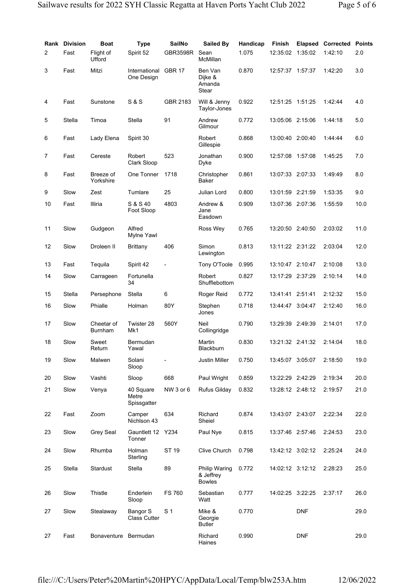| Rank           | <b>Division</b> | Boat                         | Type                              | <b>SailNo</b>  | Sailed By                                          | Handicap | <b>Finish</b>    | <b>Elapsed</b> | Corrected | <b>Points</b> |
|----------------|-----------------|------------------------------|-----------------------------------|----------------|----------------------------------------------------|----------|------------------|----------------|-----------|---------------|
| $\overline{2}$ | Fast            | Flight of<br>Ufford          | Spirit 52                         | GBR3598R       | Sean<br>McMillan                                   | 1.075    | 12:35:02         | 1:35:02        | 1:42:10   | 2.0           |
| 3              | Fast            | Mitzi                        | International<br>One Design       | <b>GBR 17</b>  | Ben Van<br>Dijke &<br>Amanda<br>Stear              | 0.870    | 12:57:37 1:57:37 |                | 1:42:20   | 3.0           |
| 4              | Fast            | Sunstone                     | <b>S &amp; S</b>                  | GBR 2183       | Will & Jenny<br>Taylor-Jones                       | 0.922    | 12:51:25 1:51:25 |                | 1:42:44   | 4.0           |
| 5              | Stella          | Timoa                        | Stella                            | 91             | Andrew<br>Gilmour                                  | 0.772    | 13:05:06 2:15:06 |                | 1:44:18   | 5.0           |
| 6              | Fast            | Lady Elena                   | Spirit 30                         |                | Robert<br>Gillespie                                | 0.868    | 13:00:40 2:00:40 |                | 1:44:44   | 6.0           |
| 7              | Fast            | Cereste                      | Robert<br>Clark Sloop             | 523            | Jonathan<br>Dyke                                   | 0.900    | 12:57:08 1:57:08 |                | 1:45:25   | 7.0           |
| 8              | Fast            | Breeze of<br>Yorkshire       | One Tonner                        | 1718           | Christopher<br>Baker                               | 0.861    | 13:07:33 2:07:33 |                | 1:49:49   | 8.0           |
| 9              | Slow            | Zest                         | Tumlare                           | 25             | Julian Lord                                        | 0.800    | 13:01:59 2:21:59 |                | 1:53:35   | 9.0           |
| 10             | Fast            | Illiria                      | S & S 40<br>Foot Sloop            | 4803           | Andrew &<br>Jane<br>Easdown                        | 0.909    | 13:07:36 2:07:36 |                | 1:55:59   | 10.0          |
| 11             | Slow            | Gudgeon                      | Alfred<br>Mylne Yawl              |                | Ross Wey                                           | 0.765    | 13:20:50 2:40:50 |                | 2:03:02   | 11.0          |
| 12             | Slow            | Droleen II                   | Brittany                          | 406            | Simon<br>Lewington                                 | 0.813    | 13:11:22 2:31:22 |                | 2:03:04   | 12.0          |
| 13             | Fast            | Tequila                      | Spirit 42                         |                | Tony O'Toole                                       | 0.995    | 13:10:47 2:10:47 |                | 2:10:08   | 13.0          |
| 14             | Slow            | Carrageen                    | Fortunella<br>34                  |                | Robert<br>Shufflebottom                            | 0.827    | 13:17:29 2:37:29 |                | 2:10:14   | 14.0          |
| 15             | Stella          | Persephone                   | Stella                            | 6              | Roger Reid                                         | 0.772    | 13:41:41 2:51:41 |                | 2:12:32   | 15.0          |
| 16             | Slow            | Phialle                      | Holman                            | 80Y            | Stephen<br>Jones                                   | 0.718    | 13:44:47 3:04:47 |                | 2:12:40   | 16.0          |
| 17             | Slow            | Cheetar of<br><b>Burnham</b> | Twister 28<br>Mk1                 | 560Y           | Neil<br>Collingridge                               | 0.790    | 13:29:39 2:49:39 |                | 2:14:01   | 17.0          |
| 18             | Slow            | Sweet<br>Return              | Bermudan<br>Yawal                 |                | Martin<br>Blackburn                                | 0.830    | 13:21:32 2:41:32 |                | 2:14:04   | 18.0          |
| 19             | Slow            | Malwen                       | Solani<br>Sloop                   |                | <b>Justin Miller</b>                               | 0.750    | 13:45:07 3:05:07 |                | 2:18:50   | 19.0          |
| 20             | Slow            | Vashti                       | Sloop                             | 668            | Paul Wright                                        | 0.859    | 13:22:29 2:42:29 |                | 2:19:34   | 20.0          |
| 21             | Slow            | Venya                        | 40 Square<br>Metre<br>Spissgatter | NW 3 or 6      | <b>Rufus Gilday</b>                                | 0.832    | 13:28:12 2:48:12 |                | 2:19:57   | 21.0          |
| 22             | Fast            | Zoom                         | Camper<br>Nichlson 43             | 634            | Richard<br>Sheiel                                  | 0.874    | 13:43:07 2:43:07 |                | 2:22:34   | 22.0          |
| 23             | Slow            | Grey Seal                    | Gauntlett 12 Y234<br>Tonner       |                | Paul Nye                                           | 0.815    | 13:37:46 2:57:46 |                | 2:24:53   | 23.0          |
| 24             | Slow            | Rhumba                       | Holman<br>Sterling                | ST 19          | Clive Church                                       | 0.798    | 13:42:12 3:02:12 |                | 2:25:24   | 24.0          |
| 25             | Stella          | Stardust                     | Stella                            | 89             | <b>Philip Waring</b><br>& Jeffrey<br><b>Bowles</b> | 0.772    | 14:02:12 3:12:12 |                | 2:28:23   | 25.0          |
| 26             | Slow            | Thistle                      | Enderlein<br>Sloop                | <b>FS 760</b>  | Sebastian<br>Watt                                  | 0.777    | 14:02:25 3:22:25 |                | 2:37:17   | 26.0          |
| 27             | Slow            | Stealaway                    | Bangor S<br><b>Class Cutter</b>   | S <sub>1</sub> | Mike &<br>Georgie<br><b>Butler</b>                 | 0.770    |                  | <b>DNF</b>     |           | 29.0          |
| 27             | Fast            | Bonaventure                  | Bermudan                          |                | Richard<br>Haines                                  | 0.990    |                  | <b>DNF</b>     |           | 29.0          |